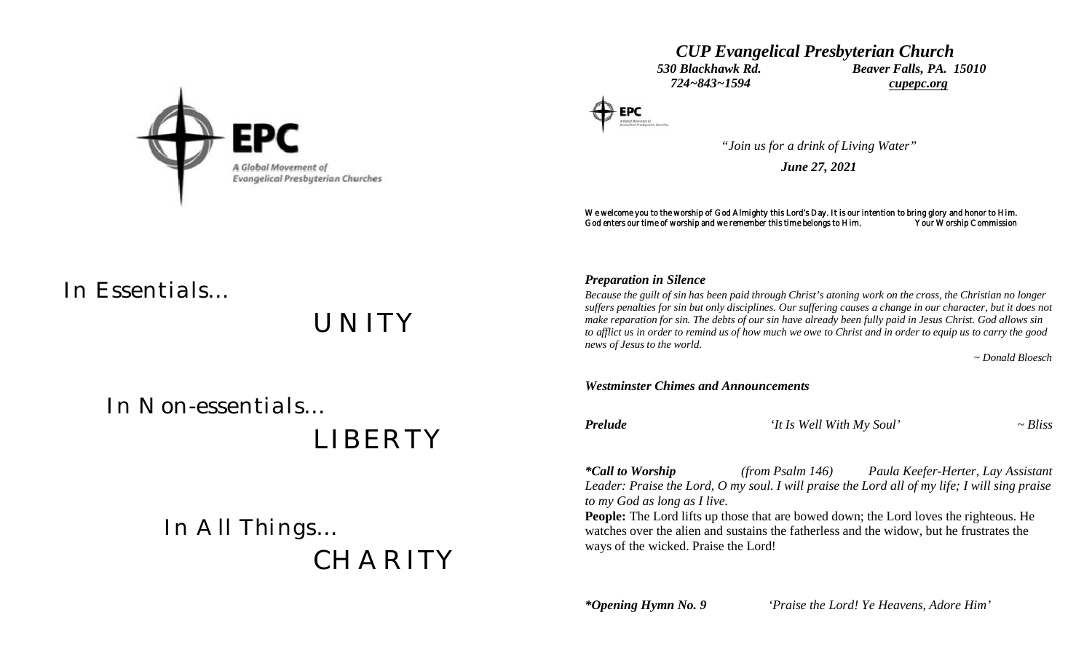

# *CUP Evangelical Presbyterian Church 530 Blackhawk Rd. Beaver Falls, PA. 15010 724~843~1594 cupepc.org*



*"Join us for a drink of Living Water"*

*June 27, 2021*

We welcome you to the worship of God Almighty this Lord's Day. It is our intention to bring glory and honor to Him.<br>God enters our time of worship and we remember this time belongs to Him. Your Worship Commission God enters our time of worship and we remember this time belongs to Him.

# *In Essentials…*

*UNITY*

 *In Non-essentials…*

 *LIBERTY*

 *In All Things… CHARITY*

## *Preparation in Silence*

*Because the guilt of sin has been paid through Christ's atoning work on the cross, the Christian no longer suffers penalties for sin but only disciplines. Our suffering causes a change in our character, but it does not make reparation for sin. The debts of our sin have already been fully paid in Jesus Christ. God allows sin to afflict us in order to remind us of how much we owe to Christ and in order to equip us to carry the good news of Jesus to the world.*

 *~ Donald Bloesch*

*Westminster Chimes and Announcements Prelude 'It Is Well With My Soul' ~ Bliss \*Call to Worship (from Psalm 146) Paula Keefer-Herter, Lay Assistant Leader: Praise the Lord, O my soul. I will praise the Lord all of my life; I will sing praise to my God as long as I live.* **People:** The Lord lifts up those that are bowed down; the Lord loves the righteous. He watches over the alien and sustains the fatherless and the widow, but he frustrates the ways of the wicked. Praise the Lord!

*\*Opening Hymn No. 9 'Praise the Lord! Ye Heavens, Adore Him'*